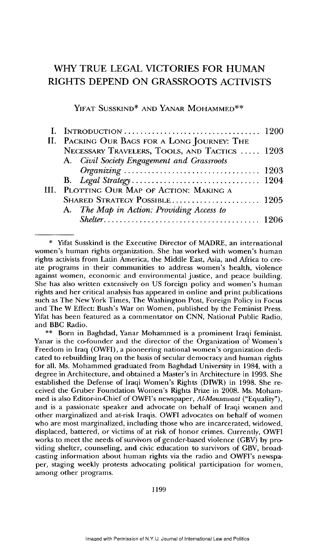# WHY TRUE **LEGAL** VICTORIES FOR **HUMAN** RIGHTS **DEPEND ON** GRASSROOTS **ACTIVISTS**

YIFAT SUSSKIND\* AND YANAR MOHAMMED\*\*

| II. PACKING OUR BAGS FOR A LONG JOURNEY: THE  |  |
|-----------------------------------------------|--|
| NECESSARY TRAVELERS, TOOLS, AND TACTICS  1203 |  |
| A. Civil Society Engagement and Grassroots    |  |
|                                               |  |
|                                               |  |
| III. PLOTTING OUR MAP OF ACTION: MAKING A     |  |
|                                               |  |
| A. The Map in Action: Providing Access to     |  |
|                                               |  |

\* Yifat Susskind is the Executive Director of MADRE, an international women's human rights organization. She has worked with women's human rights activists from Latin America, the Middle East, Asia, and Africa to create programs in their communities to address women's health, violence against women, economic and environmental justice, and peace building. She has also written extensively on US foreign policy and women's human fights and her critical analysis has appeared in online and print publications such as The New York Times, The Washington Post, Foreign Policy in Focus and The W Effect: Bush's War on Women, published by the Feminist Press. Yifat has been featured as a commentator on CNN, National Public Radio, and BBC Radio.

\*\* Born in Baghdad, Yanar Mohammed is a prominent Iraqi feminist. Yanar is the co-founder and the director of the Organization of Women's Freedom in Iraq (OWFI), a pioneering national women's organization dedicated to rebuilding Iraq on the basis of secular democracy and human rights for all. Ms. Mohammed graduated from Baghdad University in 1984, with a degree in Architecture, and obtained a Master's in Architecture in 1993. She established the Defense of Iraqi Women's Rights (DIWR) in 1998. She received the Gruber Foundation Women's Rights Prize in 2008. Ms. Mohammed is also Editor-in-Chief of OWFI's newspaper, *Al-Mousawaat* ("Equality"), and is a passionate speaker and advocate on behalf of Iraqi women and other marginalized and at-risk Iraqis. OWFI advocates on behalf of women who are most marginalized, including those who are incarcerated, widowed, displaced, battered, or victims of at risk of honor crimes. Currently, OWFI works to meet the needs of survivors of gender-based violence (GBV) by providing shelter, counseling, and civic education to survivors of GBV, broadcasting information about human rights via the radio and OWFI's newspaper, staging weekly protests advocating political participation for women, among other programs.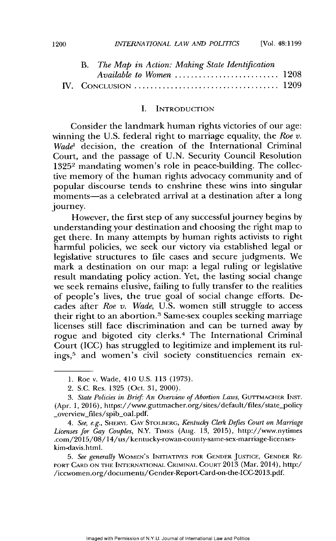[Vol. 48:1199

## I. INTRODUCTION

Consider the landmark human rights victories of our age: winning the U.S. federal right to marriage equality, the *Roe v. Wade'* decision, the creation of the International Criminal Court, and the passage of U.N. Security Council Resolution 13252 mandating women's role in peace-building. The collective memory of the human rights advocacy community and of popular discourse tends to enshrine these wins into singular moments-as a celebrated arrival at a destination after a long journey.

However, the first step of any successful journey begins by understanding your destination and choosing the right map to get there. In many attempts by human rights activists to right harmful policies, we seek our victory via established legal or legislative structures to file cases and secure judgments. We mark a destination on our map: a legal ruling or legislative result mandating policy action. Yet, the lasting social change we seek remains elusive, failing to fully transfer to the realities of people's lives, the true goal of social change efforts. Decades after *Roe v. Wade,* U.S. women still struggle to access their right to an abortion.<sup>3</sup> Same-sex couples seeking marriage licenses still face discrimination and can be turned away by rogue and bigoted city clerks.<sup>4</sup>The International Criminal Court (ICC) has struggled to legitimize and implement its rulings,<sup>5</sup> and women's civil society constituencies remain ex-

*4. See, e.g.,* SHERYL **GAY** STOIBERG, *Kentucky Clerk Defies Court on Marriage Licenses for Gay Couples,* N.Y. TIMES (Aug. 13, 2015), http://www.nytimes .com/2015/08/14/us/kentucky-rowan-county-same-sex-marriage-licenseskim-davis.html.

*5. See generally* **WOMEN'S INITIATIVES** FOR **GENDER JUSTICE, GENDrER** RE-- PORT **CARl) ON** THE **INTERNATIONAL** CRIMINAL **COURT** 2013 (Mar. 2014), http:/ /iccwornen.org/documents/Gender-Report-Card-on-the-ICC-2013.pdf.

<sup>1.</sup> Roe v. Wade, 410 U.S. 113 (1973).

<sup>2.</sup> S.C. Res. 1325 (Oct. 31, 2000).

*<sup>3.</sup> State Policies in Brief: An Overview of Abortion Laws,* GUTTMACHER INST. (Apr. 1, 2016), https://www.guttmacher.org/sites/default/files/state-policy \_overview\_files/spib\_oal.pdf.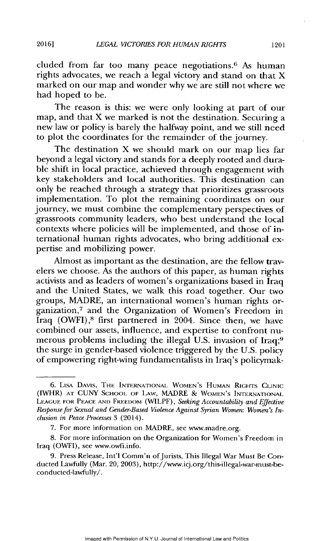cluded from far too many peace negotiations. $6$  As human rights advocates, we reach a legal victory and stand on that X marked on our map and wonder why we are still not where we had hoped to be.

The reason is this: we were only looking at part of our map, and that X we marked is not the destination. Securing a new law or policy is barely the halfway point, and we still need to plot the coordinates for the remainder of the journey.

The destination X we should mark on our map lies far beyond a legal victory and stands for a deeply rooted and durable shift in local practice, achieved through engagement with key stakeholders and local authorities. This destination can only be reached through a strategy that prioritizes grassroots implementation. To plot the remaining coordinates on our journey, we must combine the complementary perspectives of grassroots community leaders, who best understand the local contexts where policies will be implemented, and those of international human rights advocates, who bring additional expertise and mobilizing power.

Almost as important as the destination, are the fellow travelers we choose. As the authors of this paper, as human rights activists and as leaders of women's organizations based in Iraq and the United States, we walk this road together. Our two groups, MADRE, an international women's human rights organization,<sup>7</sup> and the Organization of Women's Freedom in Iraq  $(OWFI)$ ,<sup>8</sup> first partnered in 2004. Since then, we have combined our assets, influence, and expertise to confront numerous problems including the illegal U.S. invasion of Iraq;<sup>9</sup> the surge in gender-based violence triggered by the U.S. policy of empowering right-wing fundamentalists in Iraq's policymak-

**20161**

<sup>6.</sup> LIsA DAVIS, THE INTERNATIONAL WOMEN'S HUMAN RIGHTS CLINIC (lWHR) AT CUNY SCHOOL OF LAW, MADRE & **WOMEN'S INTERNATIONAL** LrAGUE FOR **PEACE ANi)** FREEDOM (WILPF), *Seeking Accountability and Effective Response for Sexual and Gender-Based Violence Against Syrian Women: Women's Inclusion in Peace Processes* 3 (2014).

<sup>7.</sup> For more information on MADRE, see www.inadre.org.

<sup>8.</sup> For more information on the Organization for Women's Freedom in Iraq (OWFI), see www.owfi.info.

<sup>9.</sup> Press Release, Int'l Comm'n of Jurists, This Illegal War Must Be Conducted Lawfully (Mar. 20, 2003), http://www.icj.org/this-illegal-war-must-beconducted-lawfully/.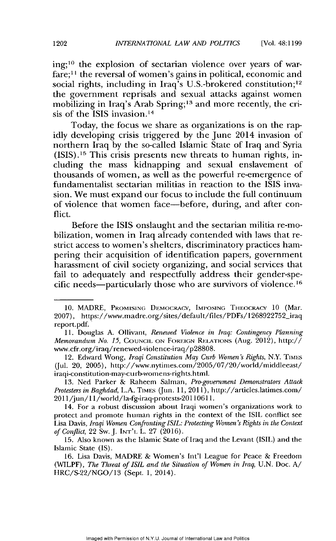ing;<sup>10</sup> the explosion of sectarian violence over years of warfare;<sup>11</sup> the reversal of women's gains in political, economic and social rights, including in Iraq's U.S.-brokered constitution;<sup>12</sup> the government reprisals and sexual attacks against women mobilizing in Iraq's Arab Spring;<sup>13</sup> and more recently, the crisis of the ISIS invasion.<sup>14</sup>

Today, the focus we share as organizations is on the rapidly developing crisis triggered by the June 2014 invasion of northern Iraq by the so-called Islamic State of Iraq and Syria  $(ISIS).<sup>15</sup>$  This crisis presents new threats to human rights, including the mass kidnapping and sexual enslavement of thousands of women, as well as the powerful re-emergence of fundamentalist sectarian militias in reaction to the ISIS invasion. We must expand our focus to include the full continuum of violence that women face-before, during, and after conflict.

Before the ISIS onslaught and the sectarian militia re-mobilization, women in Iraq already contended with laws that restrict access to women's shelters, discriminatory practices hampering their acquisition of identification papers, government harassment of civil society organizing, and social services that fail to adequately and respectfully address their gender-specific needs—particularly those who are survivors of violence.<sup>16</sup>

<sup>10.</sup> MADRE, PROMISING DEMOCRACY, IMPOSING THEOCRACY 10 (Mar. 2007), https://www.madre.org/sites/default/files/PDFs/1268922752\_iraq report.pdf.

<sup>11.</sup> Douglas A. Ollivant, *Renewed Violence in Iraq: Contingency Planning Memorandum No. 15, COUNCIL ON FOREIGN RELATIONS (Aug. 2012), http://* www.cfr.org/iraq/renewed-violence-iraq/p28808.

<sup>12.</sup> Edward Wong, *Iraqi Constitution May Curb Women's Rights*, N.Y. TIMES (Jul. 20, 2005), http://www.nytimes.com/2005/07/20/world/middleeast/ iraqi-constitution-may-curb-wornens-rights.html.

<sup>13.</sup> Ned Parker & Raheem Salman, *Pro-government Demonstrators Attack Protesters in Baghdad, L.A. TIMES* (Jun. 11, 2011), http://articles.latimes.com/ 2011/jun/11/world/la-fg-iraq-protests-20110611.

<sup>14.</sup> For a robust discussion about Iraqi women's organizations work to protect and promote human rights in the context of the ISIL conflict see Lisa Davis, *Iraqi Women Confronting ISIL: Protecting Women's Rights in the Context of Conflict,* 22 Sw.J. INT'L L. 27 (2016).

<sup>15.</sup> Also known as the Islamic State of Iraq and the Levant (ISIL) and the Islamic State (IS).

<sup>16.</sup> Lisa Davis, MADRE & Women's Int'l League for Peace & Freedom (WILPF), *The Threat of ISIL and the Situation of Women in Iraq,* U.N. Doc. A/ HRC/S-22/NGO/13 (Sept. 1, 2014).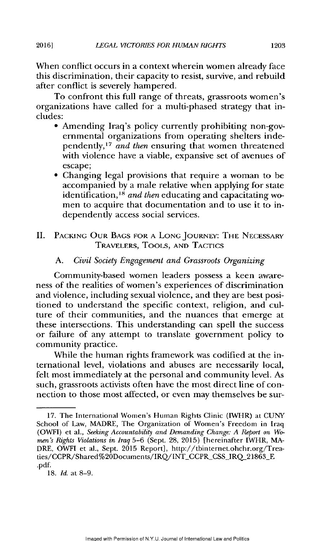When conflict occurs in a context wherein women already face this discrimination, their capacity to resist, survive, and rebuild after conflict is severely hampered.

To confront this full range of threats, grassroots women's organizations have called for a multi-phased strategy that includes:

- **"** Amending Iraq's policy currently prohibiting non-governmental organizations from operating shelters independently,<sup>17</sup> and then ensuring that women threatened with violence have a viable, expansive set of avenues of escape;
- **"** Changing legal provisions that require a woman to be accompanied **by** a male relative when applying for state identification, <sup>18</sup> and then educating and capacitating women to acquire that documentation and to use it to independently access social services.

# **II. PACKING** OUR **BAGS** FOR **A LONG JOURNEY:** THE **NECESSARY** TRAVELERS, TOOLS, **AND TACTICS**

# **A.** *Civil Society Engagement and Grassroots Organizing*

Community-based women leaders possess a keen awareness of the realities of women's experiences of discrimination and violence, including sexual violence, and they are best positioned to understand the specific context, religion, and culture of their communities, and the nuances that emerge at these intersections. This understanding can spell the success or failure of any attempt to translate government policy to community practice.

While the human rights framework was codified at the international level, violations and abuses are necessarily local, felt most immediately at the personal and community level. As such, grassroots activists often have the most direct line of connection to those most affected, or even may themselves be sur-

**2016]**

**<sup>17.</sup>** The International Women's Human Rights Clinic (IWHR) at **CUNY** School of Law, **MADRE,** The Organization of Women's Freedom in Iraq (OWFI) et al., *Seeking Accountability and Demanding Change: A Report on Women's Rights Violations in Iraq* **5-6** (Sept. **28, 2015)** [hereinafter IWHR, **MA-**DRE, OWFI et al., Sept. **2015** Report], http://tbinternet.ohchr.org/Treaties/CCPR/Shared%20Documents/IRQ/INT\_CCPR\_CSS\_IRQ\_21863\_E **.pdf.**

**<sup>18.</sup>** *Id.* at **8-9.**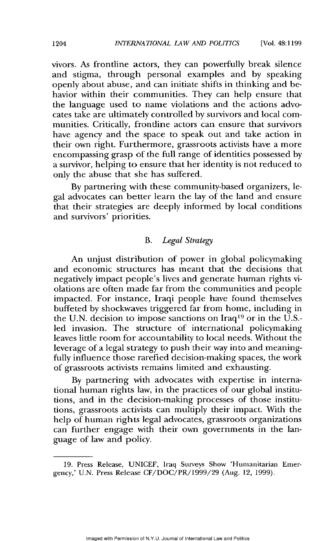vivors. As frontline actors, they can powerfully break silence and stigma, through personal examples and by speaking openly about abuse, and can initiate shifts in thinking and behavior within their communities. They can help ensure that the language used to name violations and the actions advocates take are ultimately controlled by survivors and local communities. Critically, frontline actors can ensure that survivors have agency and the space to speak out and take action in their own right. Furthermore, grassroots activists have a more encompassing grasp of the full range of identities possessed by a survivor, helping to ensure that her identity is not reduced to only the abuse that she has suffered.

By partnering with these community-based organizers, legal advocates can better learn the lay of the land and ensure that their strategies are deeply informed by local conditions and survivors' priorities.

### *B. Legal Strategy*

An unjust distribution of power in global policymaking and economic structures has meant that the decisions that negatively impact people's lives and generate human rights violations are often made far from the communities and people impacted. For instance, Iraqi people have found themselves buffeted by shockwaves triggered far from home, including in the U.N. decision to impose sanctions on  $Iraq^{19}$  or in the U.S.led invasion. The structure of international policymaking leaves little room for accountability to local needs. Without the leverage of a legal strategy to push their way into and meaningfully influence those rarefied decision-making spaces, the work of grassroots activists remains limited and exhausting.

By partnering with advocates with expertise in international human rights law, in the practices of our global institutions, and in the decision-making processes of those institutions, grassroots activists can multiply their impact. With the help of human rights legal advocates, grassroots organizations can further engage with their own governments in the language of law and policy.

<sup>19.</sup> Press Release, UNICEF, Iraq Surveys Show 'Humanitarian Emergency,' U.N. Press Release CF/DOC/PR/1999/29 (Aug. 12, 1999).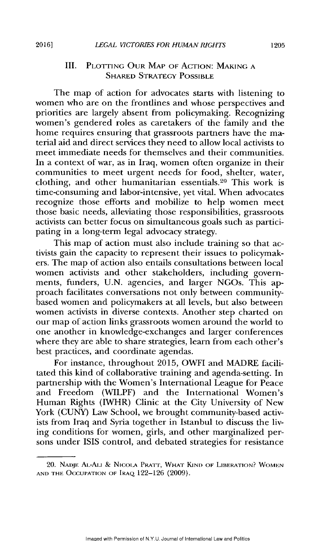# III. **PLOTTING OUR MAP** OF **ACTION: MAKING A** SHARED STRATEGY **POSSIBLE**

The map of action for advocates starts with listening to women who are on the frontlines and whose perspectives and priorities are largely absent from policymaking. Recognizing women's gendered roles as caretakers of the family and the home requires ensuring that grassroots partners have the material aid and direct services they need to allow local activists to meet immediate needs for themselves and their communities. In a context of war, as in Iraq, women often organize in their communities to meet urgent needs for food, shelter, water, clothing, and other humanitarian essentials.<sup>20</sup> This work is time-consuming and labor-intensive, yet vital. When advocates recognize those efforts and mobilize to help women meet those basic needs, alleviating those responsibilities, grassroots activists can better focus on simultaneous goals such as participating in a long-term legal advocacy strategy.

This map of action must also include training so that activists gain the capacity to represent their issues to policymakers. The map of action also entails consultations between local women activists and other stakeholders, including governments, funders, **U.N.** agencies, and larger NGOs. This approach facilitates conversations not only between communitybased women and policymakers at all levels, but also between women activists in diverse contexts. Another step charted on our map of action links grassroots women around the world to one another in knowledge-exchanges and larger conferences where they are able to share strategies, learn from each other's best practices, and coordinate agendas.

For instance, throughout 2015, OWFI and MADRE facilitated this kind of collaborative training and agenda-setting. In partnership with the Women's International League for Peace and Freedom (WILPF) and the International Women's Human Rights (IWHR) Clinic at the City University of New York **(CUNY)** Law School, we brought community-based activists from Iraq and Syria together in Istanbul to discuss the living conditions for women, girls, and other marginalized persons under ISIS control, and debated strategies for resistance

<sup>20.</sup> **NADJE AL-Au** & **NICOLA** PRAr, **WHAT KIND** OF LIBERATION? **WOMEN AND** THE **OCCUPATION OF** IRAQ 122-126 (2009).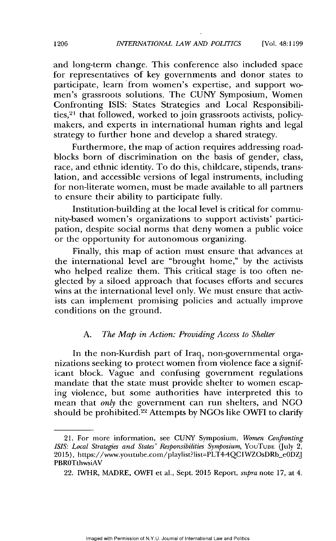and long-term change. This conference also included space for representatives of key governments and donor states to participate, learn from women's expertise, and support women's grassroots solutions. The CUNY Symposium, Women Confronting ISIS: States Strategies and Local Responsibilities, $21$  that followed, worked to join grassroots activists, policymakers, and experts in international human rights and legal strategy to further hone and develop a shared strategy.

Furthermore, the map of action requires addressing roadblocks born of discrimination on the basis of gender, class, race, and ethnic identity. To do this, childcare, stipends, translation, and accessible versions of legal instruments, including for non-literate women, must be made available to all partners to ensure their ability to participate fully.

Institution-building at the local level is critical for community-based women's organizations to support activists' participation, despite social norms that deny women a public voice or the opportunity for autonomous organizing.

Finally, this map of action must ensure that advances at the international level are "brought home," by the activists who helped realize them. This critical stage is too often neglected by a siloed approach that focuses efforts and secures wins at the international level only. We must ensure that activists can implement promising policies and actually improve conditions on the ground.

#### *A. The Map in Action: Providing Access to Shelter*

In the non-Kurdish part of Iraq, non-governmental organizations seeking to protect women from violence face a significant block. Vague and confusing government regulations mandate that the state must provide shelter to women escaping violence, but some authorities have interpreted this to mean that *only* the government can run shelters, and NGO should be prohibited.<sup>22</sup> Attempts by NGOs like OWFI to clarify

<sup>21.</sup> For more information, see CUNY Symposium, *Women Confronting ISIS: Local Strategies and States' Responsibilities Symposium, YouTube (July 2,* 2015), https://www.youtube.com/playlist?list=PLT4-4QCIWZOsDRb-eODZJ PBROTthwsiAV

<sup>22.</sup> IWHR, MADRE, OWFI et al., Sept. 2015 Report, *supra* note 17, at 4.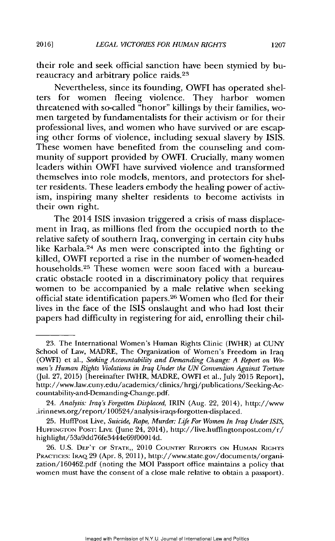*LEGAL VICTORIES FOR HUMAN RIGHTS*

their role and seek official sanction have been stymied by bureaucracy and arbitrary police raids.<sup>23</sup>

Nevertheless, since its founding, OWFI has operated shelters for women fleeing violence. They harbor women threatened with so-called "honor" killings by their families, women targeted by fundamentalists for their activism or for their professional lives, and women who have survived or are escaping other forms of violence, including sexual slavery by ISIS. These women have benefited from the counseling and community of support provided by OWFI. Crucially, many women leaders within OWFI have survived violence and transformed themselves into role models, mentors, and protectors for shelter residents. These leaders embody the healing power of activism, inspiring many shelter residents to become activists in their own right.

The 2014 ISIS invasion triggered a crisis of mass displacement in Iraq, as millions fled from the occupied north to the relative safety of southern Iraq, converging in certain city hubs like Karbala.<sup>24</sup> As men were conscripted into the fighting or killed, OWFI reported a rise in the number of women-headed households.<sup>25</sup> These women were soon faced with a bureaucratic obstacle rooted in a discriminatory policy that requires women to be accompanied by a male relative when seeking official state identification papers.<sup>26</sup> Women who fled for their lives in the face of the ISIS onslaught and who had lost their papers had difficulty in registering for aid, enrolling their chil-

<sup>23.</sup> The International Women's Human Rights Clinic (IWHR) at CUNY School of Law, MADRE, The Organization of Women's Freedom in Iraq (OWFI) et al., *Seeking Accountability and Demanding Change: A Report on Women's Human Rights Violations in Iraq Under the UN Convention Against Torture* (Jul. 27, 2015) [hereinafter IWHR, MADRE, OWFI et al., July 2015 Report], http://www.law.cuny.edu/academics/clinics/hrgj/publications/Seeking-Accountability-and-Demanding-Change.pdf.

<sup>24.</sup> *Analysis: Iraq's Forgotten Displaced,* IRIN (Aug. 22, 2014), http://www .irin news.org/report/ 100524/analysis-iraqs-forgotten-displaced.

<sup>25.</sup> HuffPost Live, *Suicide, Rape, Murder: Life For Women In Iraq Under ISIS,* **HUFFINCTON** POST: LIvE (June 24, 2014), http://ive.huffingtonpost.com/r/ highlight/53a9dd76fe3444e69f00014d.

<sup>26.</sup> U.S. DEP'T OF STATE,, 2010 **COUNTRY** REPORTS ON HUMAN RIGHTS PRACTICES: IRAQ 29 (Apr. 8, 2011), http://www.state.gov/documents/organization/160462.pdf (noting the MOI Passport office maintains a policy that women must have the consent of a close male relative to obtain a passport).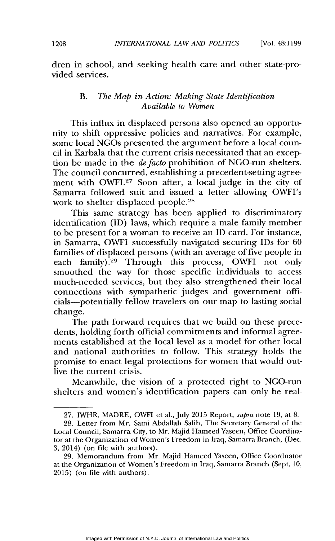dren in school, and seeking health care and other state-provided services.

#### B. *The Map in Action: Making State Identification Available to Women*

This influx in displaced persons also opened an opportunity to shift oppressive policies and narratives. For example, some local NGOs presented the argument before a local council in Karbala that the current crisis necessitated that an exception be made in the *defacto* prohibition of NGO-run shelters. The council concurred, establishing a precedent-setting agreement with OWFI.<sup>27</sup> Soon after, a local judge in the city of Samarra followed suit and issued a letter allowing OWFI's work to shelter displaced people. <sup>28</sup>

This same strategy has been applied to discriminatory identification (ID) laws, which require a male family member to be present for a woman to receive an ID card. For instance, in Samarra, OWFI successfully navigated securing IDs for 60 families of displaced persons (with an average of five people in each family).<sup>29</sup> Through this process, OWFI not only smoothed the way for those specific individuals to access much-needed services, but they also strengthened their local connections with sympathetic judges and government officials-potentially fellow travelers on our map to lasting social change.

The path forward requires that we build on these precedents, holding forth official commitments and informal agreements established at the local level as a model for other local and national authorities to follow. This strategy holds the promise to enact legal protections for women that would outlive the current crisis.

Meanwhile, the vision of a protected right to NGO-run shelters and women's identification papers can only be real-

<sup>27.</sup> IWHR, MADRE, OWFI et al., July 2015 Report, *supra* note 19, at 8.

<sup>28.</sup> Letter from Mr. Sami Abdallah Salih, The Secretary General of the Local Council, Samarra City, to Mr. Majid Hameed Yaseen, Office Coordinator at the Organization of Women's Freedom in Iraq, Samarra Branch, (Dec. 3, 2014) (on file with authors).

<sup>29.</sup> Memorandum from Mr. Majid Hameed Yaseen, Office Coordnator at the Organization of Women's Freedom in Iraq, Samarra Branch (Sept. 10, 2015) (on file with authors).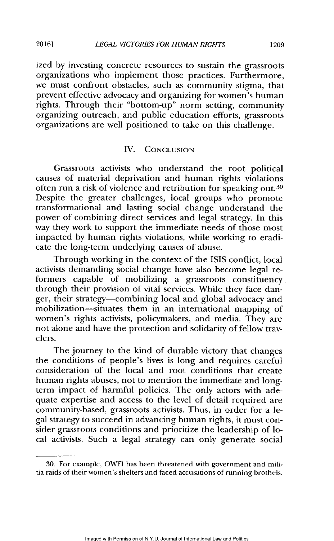ized by investing concrete resources to sustain the grassroots organizations who implement those practices. Furthermore, we must confront obstacles, such as community stigma, that prevent effective advocacy and organizing for women's human rights. Through their "bottom-up" norm setting, community organizing outreach, and public education efforts, grassroots organizations are well positioned to take on this challenge.

## IV. CONCLUSION

Grassroots activists who understand the root political causes of material deprivation and human rights violations often run a risk of violence and retribution for speaking out.<sup>3</sup><sup>0</sup> Despite the greater challenges, local groups who promote transformational and lasting social change understand the power of combining direct services and legal strategy. In this way they work to support the immediate needs of those most impacted by human rights violations, while working to eradicate the long-term underlying causes of abuse.

Through working in the context of the ISIS conflict, local activists demanding social change have also become legal reformers capable of mobilizing a grassroots constituency. through their provision of vital services. While they face danger, their strategy-combining local and global advocacy and mobilization-situates them in an international mapping of women's rights activists, policymakers, and media. They are not alone and have the protection and solidarity of fellow travelers.

The journey to the kind of durable victory that changes the conditions of people's lives is long and requires careful consideration of the local and root conditions that create human rights abuses, not to mention the immediate and longterm impact of harmful policies. The only actors with adequate expertise and access to the level of detail required are community-based, grassroots activists. Thus, in order for a legal strategy to succeed in advancing human rights, it must consider grassroots conditions and prioritize the leadership of local activists. Such a legal strategy can only generate social

<sup>30.</sup> For example, OWFI has been threatened with government and militia raids of their women's shelters and faced accusations of running brothels.